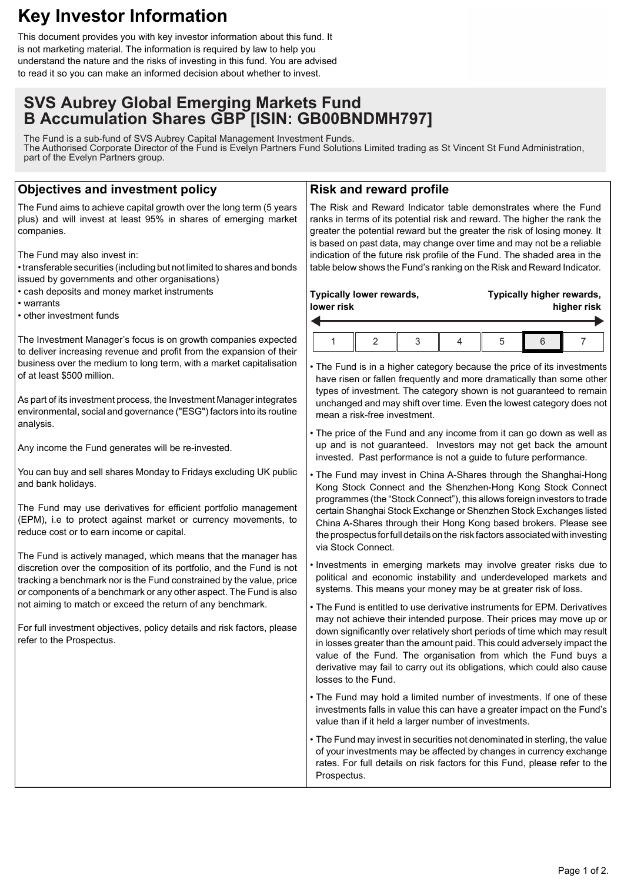# **Key Investor Information**

This document provides you with key investor information about this fund. It is not marketing material. The information is required by law to help you understand the nature and the risks of investing in this fund. You are advised to read it so you can make an informed decision about whether to invest.

## **SVS Aubrey Global Emerging Markets Fund B Accumulation Shares GBP [ISIN: GB00BNDMH797]**

The Fund is a sub-fund of SVS Aubrey Capital Management Investment Funds. The Authorised Corporate Director of the Fund is Evelyn Partners Fund Solutions Limited trading as St Vincent St Fund Administration, part of the Evelyn Partners group.

### **Objectives and investment policy**

The Fund aims to achieve capital growth over the long term (5 years plus) and will invest at least 95% in shares of emerging market companies.

The Fund may also invest in:

• transferable securities (including but not limited to shares and bonds issued by governments and other organisations)

• cash deposits and money market instruments

- warrants
- other investment funds

The Investment Manager's focus is on growth companies expected to deliver increasing revenue and profit from the expansion of their business over the medium to long term, with a market capitalisation of at least \$500 million.

As part of its investment process, the Investment Manager integrates environmental, social and governance ("ESG") factors into its routine analysis.

Any income the Fund generates will be re-invested.

You can buy and sell shares Monday to Fridays excluding UK public and bank holidays.

The Fund may use derivatives for efficient portfolio management (EPM), i.e to protect against market or currency movements, to reduce cost or to earn income or capital.

The Fund is actively managed, which means that the manager has discretion over the composition of its portfolio, and the Fund is not tracking a benchmark nor is the Fund constrained by the value, price or components of a benchmark or any other aspect. The Fund is also not aiming to match or exceed the return of any benchmark.

For full investment objectives, policy details and risk factors, please refer to the Prospectus.

#### **Risk and reward profile**

The Risk and Reward Indicator table demonstrates where the Fund ranks in terms of its potential risk and reward. The higher the rank the greater the potential reward but the greater the risk of losing money. It is based on past data, may change over time and may not be a reliable indication of the future risk profile of the Fund. The shaded area in the table below shows the Fund's ranking on the Risk and Reward Indicator.

| Typically lower rewards,<br>lower risk |  |  |  | Typically higher rewards,<br>higher risk |  |  |
|----------------------------------------|--|--|--|------------------------------------------|--|--|
|                                        |  |  |  |                                          |  |  |
|                                        |  |  |  |                                          |  |  |

• The Fund is in a higher category because the price of its investments have risen or fallen frequently and more dramatically than some other types of investment. The category shown is not guaranteed to remain unchanged and may shift over time. Even the lowest category does not mean a risk-free investment.

• The price of the Fund and any income from it can go down as well as up and is not guaranteed. Investors may not get back the amount invested. Past performance is not a guide to future performance.

• The Fund may invest in China A-Shares through the Shanghai-Hong Kong Stock Connect and the Shenzhen-Hong Kong Stock Connect programmes (the "Stock Connect"), this allows foreign investors to trade certain Shanghai Stock Exchange or Shenzhen Stock Exchanges listed China A-Shares through their Hong Kong based brokers. Please see the prospectus for full details on the risk factors associated with investing via Stock Connect.

• Investments in emerging markets may involve greater risks due to political and economic instability and underdeveloped markets and systems. This means your money may be at greater risk of loss.

• The Fund is entitled to use derivative instruments for EPM. Derivatives may not achieve their intended purpose. Their prices may move up or down significantly over relatively short periods of time which may result in losses greater than the amount paid. This could adversely impact the value of the Fund. The organisation from which the Fund buys a derivative may fail to carry out its obligations, which could also cause losses to the Fund.

• The Fund may hold a limited number of investments. If one of these investments falls in value this can have a greater impact on the Fund's value than if it held a larger number of investments.

• The Fund may invest in securities not denominated in sterling, the value of your investments may be affected by changes in currency exchange rates. For full details on risk factors for this Fund, please refer to the Prospectus.